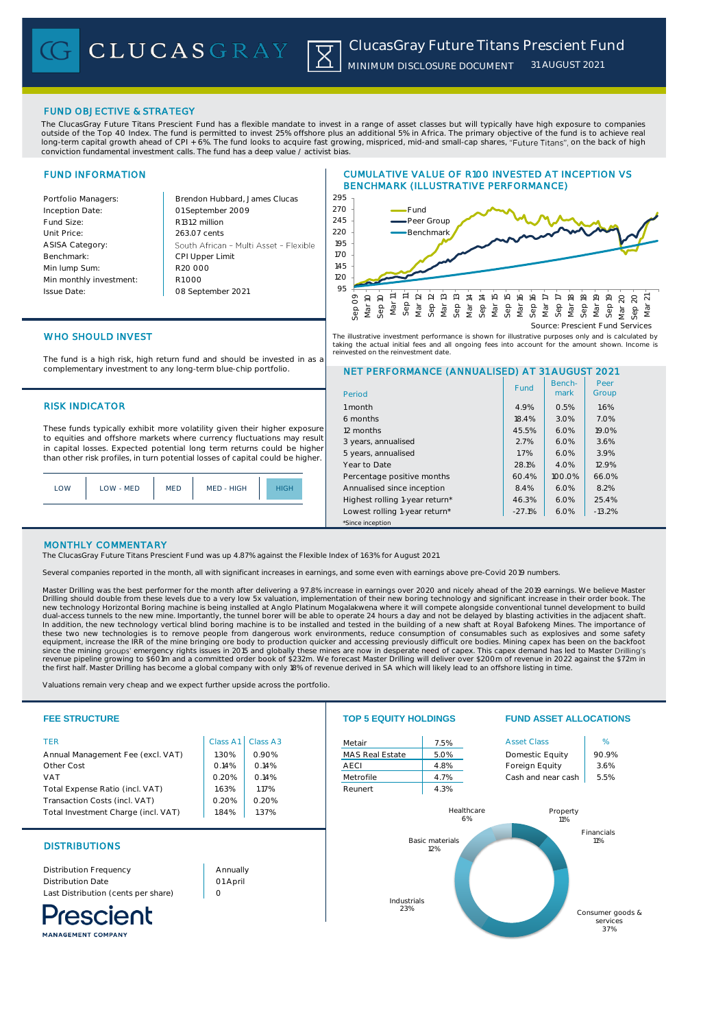# FUND OBJECTIVE & STRATEGY

The ClucasGray Future Titans Prescient Fund has a flexible mandate to invest in a range of asset classes but will typically have high exposure to companies outside of the Top 40 Index. The fund is permitted to invest 25% offshore plus an additional 5% in Africa. The primary objective of the fund is to achieve real long-term capital growth ahead of CPI + 6%. The fund looks to acquire fast growing, mispriced, mid-and small-cap shares, "Future Titans", on the back of high conviction fundamental investment calls. The fund has a deep value / activist bias.

# FUND INFORMATION

Inception Date:

ASISA Category: Benchmark: Min lump Sum:

Issue Date:

Portfolio Managers: Brendon Hubbard, James Clucas 01 September 2009 Fund Size: R131.2 million Unit Price: 263.07 cents South African - Multi Asset - Flexible CPI Upper Limit R20 000 Min monthly investment: R1 000 08 September 2021

# CUMULATIVE VALUE OF R100 INVESTED AT INCEPTION VS BENCHMARK (ILLUSTRATIVE PERFORMANCE)



# WHO SHOULD INVEST

The fund is a high risk, high return fund and should be invested in as a complementary investment to any long-term blue-chip portfolio.

# **RISK INDICATOR**

These funds typically exhibit more volatility given their higher exposure to equities and offshore markets where currency fluctuations may result in capital losses. Expected potential long term returns could be higher than other risk profiles, in turn potential losses of capital could be higher.

| LOW | LOW - MED | <b>MED</b> | MED - HIGH | <b>HIGH</b> |
|-----|-----------|------------|------------|-------------|
|     |           |            |            |             |

# NET PERFORMANCE (ANNUALISED) AT 31 AUGUST 2021 The illustrative investment performance is shown for illustrative purposes only and is calculated by<br>taking the actual initial fees and all ongoing fees into account for the amount shown. Income is<br>reinvested on the reinve

| Period                         | Fund     | Bench-<br>mark | Peer<br>Group |
|--------------------------------|----------|----------------|---------------|
| 1 month                        | 4.9%     | 0.5%           | 1.6%          |
| 6 months                       | 18.4%    | 3.0%           | 7.0%          |
| 12 months                      | 45.5%    | 6.0%           | 19.0%         |
| 3 years, annualised            | 2.7%     | 6.0%           | 3.6%          |
| 5 years, annualised            | 1.7%     | 6.0%           | 3.9%          |
| Year to Date                   | 28.1%    | 4.0%           | 12.9%         |
| Percentage positive months     | 60.4%    | 100.0%         | 66.0%         |
| Annualised since inception     | 8.4%     | 6.0%           | 8.2%          |
| Highest rolling 1-year return* | 46.3%    | 6.0%           | 25.4%         |
| Lowest rolling 1-year return*  | $-27.1%$ | 6.0%           | $-13.2%$      |
| *Since inception               |          |                |               |

# MONTHLY COMMENTARY

The ClucasGray Future Titans Prescient Fund was up 4.87% against the Flexible Index of 1.63% for August 2021.

Several companies reported in the month, all with significant increases in earnings, and some even with earnings above pre-Covid 2019 numbers.

Master Drilling was the best performer for the month after delivering a 97.8% increase in earnings over 2020 and nicely ahead of the 2019 earnings. We believe Master<br>Drilling should double from these levels due to a very l these two new technologies is to remove people from dangerous work environments, reduce consumption of consumables such as explosives and some safety equipment, increase the IRR of the mine bringing ore body to production quicker and accessing previously difficult ore bodies. Mining capex has been on the backfoot<br>since the mining groups' emergency rights issues in 2015

Valuations remain very cheap and we expect further upside across the portfolio.